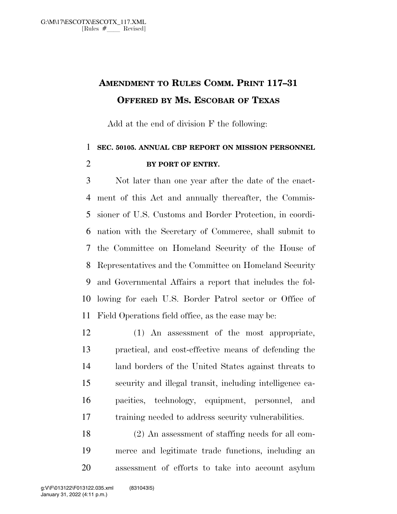## **AMENDMENT TO RULES COMM. PRINT 117–31 OFFERED BY MS. ESCOBAR OF TEXAS**

Add at the end of division F the following:

## **SEC. 50105. ANNUAL CBP REPORT ON MISSION PERSONNEL BY PORT OF ENTRY.**

 Not later than one year after the date of the enact- ment of this Act and annually thereafter, the Commis- sioner of U.S. Customs and Border Protection, in coordi- nation with the Secretary of Commerce, shall submit to the Committee on Homeland Security of the House of Representatives and the Committee on Homeland Security and Governmental Affairs a report that includes the fol- lowing for each U.S. Border Patrol sector or Office of Field Operations field office, as the case may be:

 (1) An assessment of the most appropriate, practical, and cost-effective means of defending the land borders of the United States against threats to security and illegal transit, including intelligence ca- pacities, technology, equipment, personnel, and training needed to address security vulnerabilities.

 (2) An assessment of staffing needs for all com- merce and legitimate trade functions, including an assessment of efforts to take into account asylum